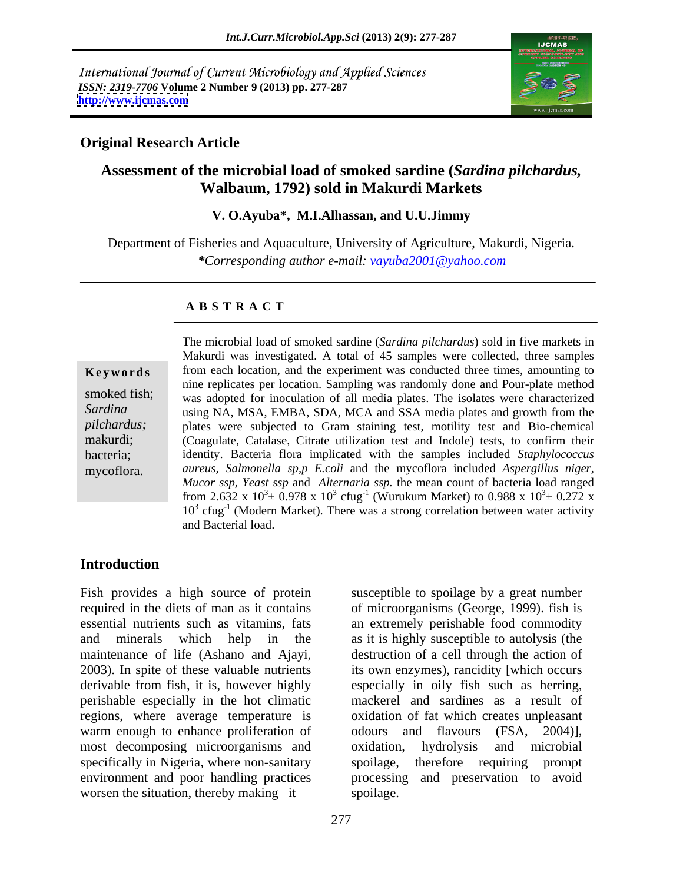International Journal of Current Microbiology and Applied Sciences *ISSN: 2319-7706* **Volume 2 Number 9 (2013) pp. 277-287 <http://www.ijcmas.com>**



### **Original Research Article**

# **Assessment of the microbial load of smoked sardine (***Sardina pilchardus,* **Walbaum, 1792) sold in Makurdi Markets**

### **V. O.Ayuba\*, M.I.Alhassan, and U.U.Jimmy**

Department of Fisheries and Aquaculture, University of Agriculture, Makurdi, Nigeria. *\*Corresponding author e-mail: vayuba2001@yahoo.com*

### **A B S T R A C T**

**Keywords** from each location, and the experiment was conducted three times, amounting to smoked fish; was adopted for inoculation of all media plates. The isolates were characterized Sardina using NA, MSA, EMBA, SDA, MCA and SSA media plates and growth from the *pilchardus;* plates were subjected to Gram staining test, motility test and Bio-chemical makurdi; (Coagulate, Catalase, Citrate utilization test and Indole) tests, to confirm their bacteria; identity. Bacteria flora implicated with the samples included *Staphylococcus*  mycoflora. *aureus, Salmonella sp,p E.coli* and the mycoflora included *Aspergillus niger,* The microbial load of smoked sardine (*Sardina pilchardus*) sold in five markets in Makurdi was investigated. A total of 45 samples were collected, three samples nine replicates per location. Sampling was randomly done and Pour-plate method *Mucor ssp, Yeast ssp* and *Alternaria ssp.* the mean count of bacteria load ranged from 2.632 x  $10^3 \pm 0.978$  x  $10^3$  cfug<sup>-1</sup> (Wurukum Market) to 0.988 x  $10^3 \pm 0.272$  x  $3\pm$  0.272 x 10<sup>3</sup> cfug<sup>-1</sup> (Modern Market). There was a strong correlation between water activity and Bacterial load.

### **Introduction**

Fish provides a high source of protein susceptible to spoilage by a great number required in the diets of man as it contains of microorganisms (George, 1999). fish is essential nutrients such as vitamins, fats an extremely perishable food commodity and minerals which help in the as it is highly susceptible to autolysis (the maintenance of life (Ashano and Ajayi, 2003). In spite of these valuable nutrients its own enzymes), rancidity [which occurs derivable from fish, it is, however highly especially in oily fish such as herring, perishable especially in the hot climatic regions, where average temperature is warm enough to enhance proliferation of odours and flavours (FSA, 2004)], most decomposing microorganisms and oxidation, hydrolysis and microbial specifically in Nigeria, where non-sanitary spoilage, environment and poor handling practices processing and preservation to avoid worsen the situation, thereby making it spoilage.

destruction of a cell through the action of mackerel and sardines as a result of oxidation of fat which creates unpleasant odours and flavours (FSA, 2004)], oxidation, hydrolysis and microbial therefore requiring prompt spoilage. The set of the set of the set of the set of the set of the set of the set of the set of the set of the set of the set of the set of the set of the set of the set of the set of the set of the set of the set of the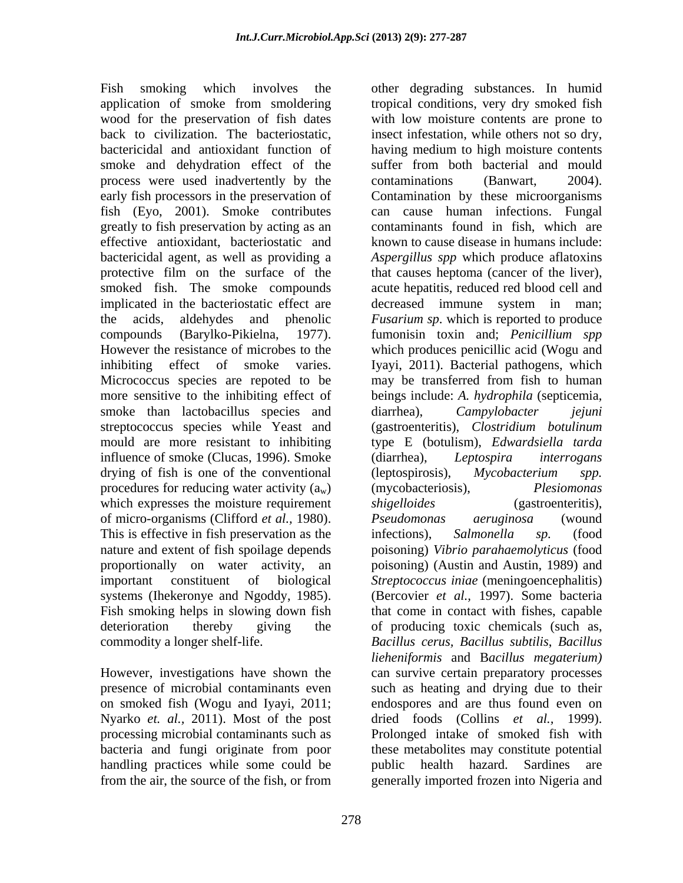Fish smoking which involves the other degrading substances. In humid application of smoke from smoldering tropical conditions, very dry smoked fish wood for the preservation of fish dates back to civilization. The bacteriostatic, insect infestation, while others not so dry, bactericidal and antioxidant function of having medium to high moisture contents smoke and dehydration effect of the suffer from both bacterial and mould process were used inadvertently by the contaminations (Banwart, 2004). early fish processors in the preservation of Contamination by these microorganisms fish (Eyo, 2001). Smoke contributes can cause human infections. Fungal greatly to fish preservation by acting as an effective antioxidant, bacteriostatic and bactericidal agent, as well as providing a *Aspergillus spp* which produce aflatoxins protective film on the surface of the that causes heptoma (cancer of the liver), smoked fish. The smoke compounds acute hepatitis, reduced red blood cell and implicated in the bacteriostatic effect are endingled immune system in man; the acids, aldehydes and phenolic *Fusarium sp*. which is reported to produce compounds (Barylko-Pikielna, 1977). fumonisin toxin and; *Penicillium spp*<br>However the resistance of microbes to the which produces penicillic acid (Wogu and inhibiting effect of smoke varies. Iyayi, 2011). Bacterial pathogens, which Micrococcus species are repoted to be may be transferred from fish to human more sensitive to the inhibiting effect of beings include: *A. hydrophila* (septicemia, smoke than lactobacillus species and diarrhea), Campylobacter *jejuni* streptococcus species while Yeast and (gastroenteritis), *Clostridium botulinum* mould are more resistant to inhibiting type E (botulism), *Edwardsiella tarda* influence of smoke (Clucas, 1996). Smoke (diarrhea), Leptospira interrogans drying of fish is one of the conventional (leptospirosis), Mycobacterium spp. procedures for reducing water activity  $(a_w)$  (mycobacteriosis), *Plesiomonas* which expresses the moisture requirement *shigelloides* (gastroenteritis), of micro-organisms (Clifford *et al.*, 1980). <br>This is effective in fish preservation as the infections), Salmonella sp. (food nature and extent of fish spoilage depends poisoning) *Vibrio parahaemolyticus* (food proportionally on water activity, an poisoning) (Austin and Austin, 1989) and important constituent of biological *Streptococcus iniae* (meningoencephalitis) systems (Ihekeronye and Ngoddy, 1985). (Bercovier *et al.,* 1997). Some bacteria Fish smoking helps in slowing down fish that come in contact with fishes, capable deterioration thereby giving the of producing toxic chemicals (such as,

on smoked fish (Wogu and Iyayi, 2011; handling practices while some could be public health hazard. Sardines are from the air, the source of the fish, or from generally imported frozen into Nigeria and

commodity a longer shelf-life. *Bacillus cerus, Bacillus subtilis*, *Bacillus* However, investigations have shown the can survive certain preparatory processes presence of microbial contaminants even such as heating and drying due to their Nyarko *et. al.,* 2011). Most of the post dried foods (Collins *et al.,* 1999). processing microbial contaminants such as Prolonged intake of smoked fish with bacteria and fungi originate from poor with low moisture contents are prone to contaminations (Banwart, 2004). contaminants found in fish, which are known to cause disease in humans include: decreased immune system in man; fumonisin toxin and; *Penicillium spp* which produces penicillic acid (Wogu and diarrhea), *Campylobacter jejuni* (diarrhea), *Leptospira interrogans* (leptospirosis), *Mycobacterium spp.* (mycobacteriosis), *Plesiomonas shigelloides* (gastroenteritis), *Pseudomonas aeruginosa* (wound infections), *Salmonella sp.* (food *lieheniformis* and B*acillus megaterium)* endospores and are thus found even on these metabolites may constitute potential public health hazard. Sardines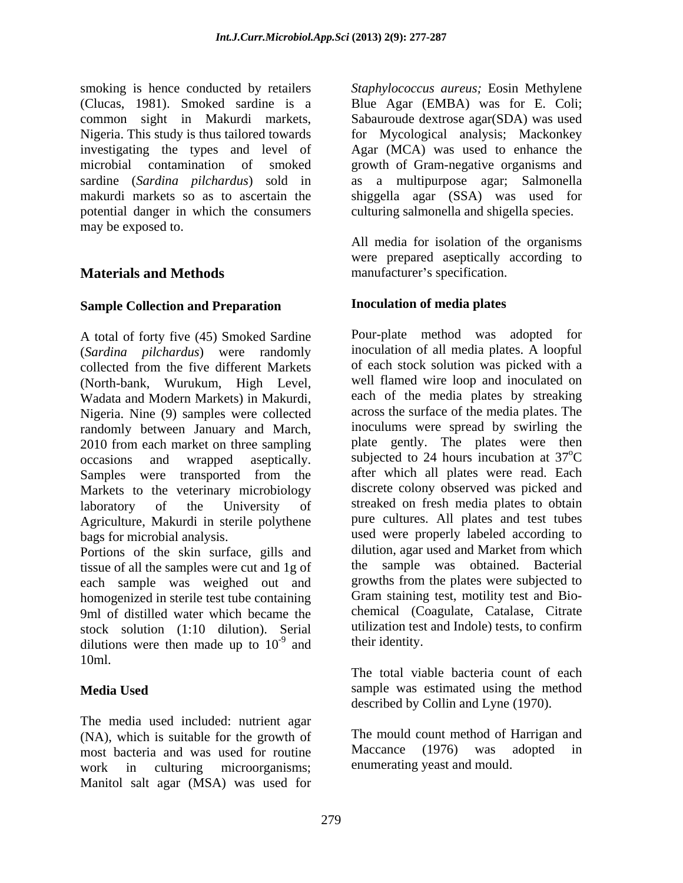smoking is hence conducted by retailers *Staphylococcus aureus;* Eosin Methylene (Clucas, 1981). Smoked sardine is a Blue Agar (EMBA) was for E. Coli; common sight in Makurdi markets, Sabauroude dextrose agar(SDA) was used Nigeria. This study is thus tailored towards for Mycological analysis; Mackonkey investigating the types and level of Agar (MCA) was used to enhance the microbial contamination of smoked growth of Gram-negative organisms and sardine (*Sardina pilchardus*) sold in as a multipurpose agar; Salmonella makurdi markets so as to ascertain the shiggella agar (SSA) was used for potential danger in which the consumers may be exposed to.

## **Sample Collection and Preparation**

A total of forty five (45) Smoked Sardine (*Sardina pilchardus*) were randomly collected from the five different Markets (North-bank, Wurukum, High Level, Wadata and Modern Markets) in Makurdi, Nigeria. Nine (9) samples were collected randomly between January and March, 2010 from each market on three sampling occasions and wrapped aseptically. Subjected to 24 hours incubation at 37<sup>o</sup>C Samples were transported from the Markets to the veterinary microbiology laboratory of the University of streaked on fresh media plates to obtain Agriculture, Makurdi in sterile polythene bags for microbial analysis. used were properly labeled according to

tissue of all the samples were cut and 1g of each sample was weighed out and homogenized in sterile test tube containing 9ml of distilled water which became the stock solution (1:10 dilution). Serial utilization test<br>dilutions were then made up to  $10^{-9}$  and their identity. dilutions were then made up to  $10^{-9}$  and 10ml.

The media used included: nutrient agar (NA), which is suitable for the growth of The mould count method of Harrigan<br>most bacteria and was used for routine Maccance (1976) was adopted most bacteria and was used for routine Maccance (1976) was adopted in work in culturing microorganisms; enumerating yeast and mould. Manitol salt agar (MSA) was used for

culturing salmonella and shigella species.

**Materials and Methods manufacturer's specification.** All media for isolation of the organisms were prepared aseptically according to

## **Inoculation of media plates**

Portions of the skin surface, gills and dilution, agar used and Market from which  $-9$  and their identity and their identity. Pour-plate method was adopted for inoculation of all media plates. A loopful of each stock solution was picked with a well flamed wire loop and inoculated on each of the media plates by streaking across the surface of the media plates. The inoculums were spread by swirling the plate gently. The plates were then <sup>o</sup>C after which all plates were read. Each discrete colony observed was picked and pure cultures. All plates and test tubes dilution, agar used and Market from which the sample was obtained. Bacterial growths from the plates were subjected to Gram staining test, motility test and Bio chemical (Coagulate, Catalase, Citrate utilization test and Indole) tests, to confirm

**Media Used** Sample was estimated using the method their identity. The total viable bacteria count of each described by Collin and Lyne (1970).

> The mould count method of Harrigan and Maccance (1976) was adopted in enumerating yeast and mould.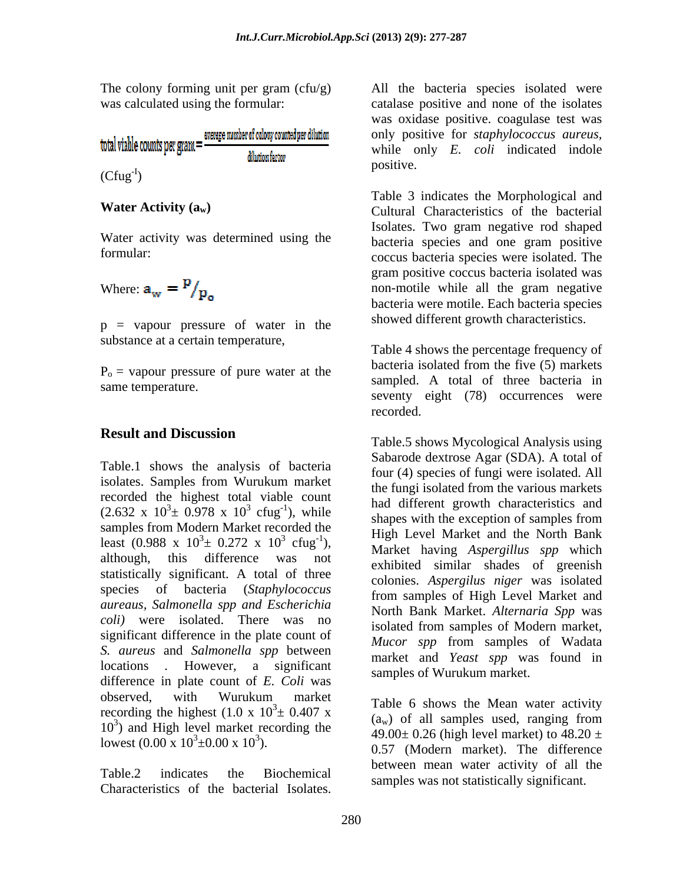| total viable counts per gram $=$ $\frac{2}{3}$ | average number of colony counted per dilution |
|------------------------------------------------|-----------------------------------------------|
|                                                | dilutionfactor                                |

Water activity was determined using the

Where: 
$$
a_w = \frac{p}{p_o}
$$

p = vapour pressure of water in the substance at a certain temperature,

 $P<sub>o</sub>$  = vapour pressure of pure water at the

## **Result and Discussion**

Table.1 shows the analysis of bacteria isolates. Samples from Wurukum market recorded the highest total viable count samples from Modern Market recorded the least (0.988 x  $10^3 \pm 0.272$  x  $10^3$  cfug<sup>-1</sup>), although, this difference was not statistically significant. A total of three species of bacteria (*Staphylococcus aureaus, Salmonella spp and Escherichia coli)* were isolated. There was no significant difference in the plate count of *S. aureus* and *Salmonella spp* between locations *.* However, a significant difference in plate count of *E. Coli* was observed, with Wurukum market Table 6 shows the Mean water activity recording the highest  $(1.0 \times 10^3 \pm 0.407 \times$  and the b shows the Mean water activity lowest (0.00 x  $10^3 \pm 0.00$  x  $10^3$ ). The colony forming unit para particular the bacteria species isolated were distinguished bacterics of the bacteria species of the bacteria species of the bacterial Isolation (Cfig<sup>er</sup>) **distinguished backeria species were** 

Table.2 indicates the Biochemical samples was not statistically significant.

The colony forming unit per gram  $(cfu/g)$  All the bacteria species isolated were was calculated using the formular: catalase positive and none of the isolates  $\frac{1}{2}$  only *E*. *colt* indicated indole<br>(Cfug<sup>-I</sup>) ) and the contract of  $\overline{a}$ was oxidase positive. coagulase test was only positive for *staphylococcus aureus,* while only *E. coli* indicated indole positive.

Water Activity (a<sub>w</sub>) Cultural Characteristics of the bacterial formular:  $\frac{1}{2}$  coccus bacteria species were isolated. The Where:  $a_w = \frac{P}{D}$ Table 3 indicates the Morphological and Isolates. Two gram negative rod shaped bacteria species and one gram positive gram positive coccus bacteria isolated was bacteria were motile. Each bacteria species showed different growth characteristics.

sampled. A total of three bacteria in same temperature. Table 4 shows the percentage frequency of bacteria isolated from the five (5) markets seventy eight (78) occurrences were recorded.

 $(2.632 \times 10^3 \pm 0.978 \times 10^3 \text{ cftg}^{-1})$ , while have under the exception of samples from  $\frac{3}{2}$   $\frac{1}{2}$  while had different growth characteristics and cfug ), while shapes with the exception of samples from  $\frac{3}{2}$  0.272 x 10<sup>3</sup> cfug<sup>-1</sup>), https://warket.hoving.departillus.som.which  $\frac{3}{3}$   $\frac{1}{2}$  High Level Market and the North Bank cfug ), Market having *Aspergillus spp* which Table.5 shows Mycological Analysis using Sabarode dextrose Agar (SDA). A total of four (4) species of fungi were isolated. All the fungi isolated from the various markets exhibited similar shades of greenish colonies. *Aspergilus niger* was isolated from samples of High Level Market and North Bank Market. *Alternaria Spp* was isolated from samples of Modern market, *Mucor spp* from samples of Wadata market and *Yeast spp* was found in samples of Wurukum market.

 $\frac{3}{2}$  0.407 x and  $\frac{1}{2}$  of all samples used renging from  $(10^3)$  and High level market recording the  $(10^9)$  and  $(10^9)$  and  $(10^9)$  and  $(10^9)$  and  $(10^9)$  and  $(10^9)$  and  $(10^9)$  and  $(10^9)$  and  $(10^9)$  and  $(10^9)$  and  $(10^9)$  and  $(10^9)$  and  $(10^9)$  and  $(10^9)$  $0.57$  (Modern market). The difference Table 6 shows the Mean water activity  $(a_w)$  of all samples used, ranging from 49.00 $\pm$  0.26 (high level market) to 48.20  $\pm$ between mean water activity of all the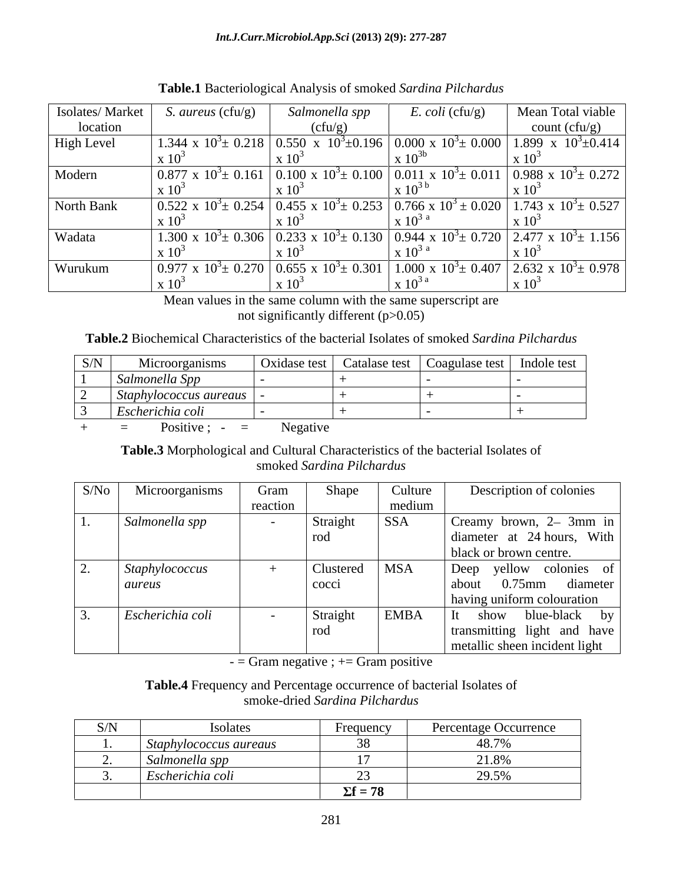| Isolates/Market | <i>S. aureus</i> $(cfu/g)$ | Salmonella spp | $E.$ coli (cfu/g) | Mean Total viable                                                                                                                                                       |
|-----------------|----------------------------|----------------|-------------------|-------------------------------------------------------------------------------------------------------------------------------------------------------------------------|
| location        |                            | (cfu/g)        |                   | count (cfu/g)                                                                                                                                                           |
| High Level      |                            |                |                   | 1.344 x $10^3 \pm 0.218$   0.550 x $10^3 \pm 0.196$   0.000 x $10^3 \pm 0.000$   1.899 x $10^3 \pm 0.414$                                                               |
|                 |                            |                |                   |                                                                                                                                                                         |
| Modern          |                            |                |                   | $\left[0.877 \times 10^{3} \pm 0.161 \right] 0.100 \times 10^{3} \pm 0.100 \left[ 0.011 \times 10^{3} \pm 0.011 \right] 0.988 \times 10^{3} \pm 0.272$                  |
|                 |                            |                |                   |                                                                                                                                                                         |
| North Bank      |                            |                |                   | $\vert$ 0.522 x 10 <sup>3</sup> ± 0.254 $\vert$ 0.455 x 10 <sup>3</sup> ± 0.253 $\vert$ 0.766 x 10 <sup>3</sup> ± 0.020 $\vert$ 1.743 x 10 <sup>3</sup> ± 0.527 $\vert$ |
|                 |                            |                |                   |                                                                                                                                                                         |
| Wadata          |                            |                |                   | 1.300 x $10^3 \pm 0.306$   0.233 x $10^3 \pm 0.130$   0.944 x $10^3 \pm 0.720$   2.477 x $10^3 \pm 1.156$                                                               |
|                 |                            |                |                   |                                                                                                                                                                         |
| Wurukum         |                            |                |                   | $\vert 0.977 \times 10^{3} \pm 0.270 \vert 0.655 \times 10^{3} \pm 0.301 \vert 1.000 \times 10^{3} \pm 0.407 \vert 2.632 \times 10^{3} \pm 0.978 \vert$                 |
|                 |                            |                | 8. IU             |                                                                                                                                                                         |

**Table.1** Bacteriological Analysis of smoked *Sardina Pilchardus*

Mean values in the same column with the same superscript are not significantly different (p>0.05)

**Table.2** Biochemical Characteristics of the bacterial Isolates of smoked *Sardina Pilchardus*

| S/N | Microorganisms                              |  | Oxidase test   Catalase test   Coagulase test | Indole test |
|-----|---------------------------------------------|--|-----------------------------------------------|-------------|
|     | Salmonella Spp                              |  |                                               |             |
|     | Staphylococcus aureaus                      |  |                                               |             |
|     | $\cdot$ $\cdot$ $\cdot$<br>Escherichia coli |  |                                               |             |

+ = Positive ; - = Negative

**Table.3** Morphological and Cultural Characteristics of the bacterial Isolates of smoked *Sardina Pilchardus*

| S/No | Microorganisms   | Gram     | Shape     | Culture     | Description of colonies       |
|------|------------------|----------|-----------|-------------|-------------------------------|
|      |                  | reaction |           | medium      |                               |
|      | Salmonella spp   |          | Straight  | SSA         | Creamy brown, 2– 3mm in       |
|      |                  |          | rod       |             | diameter at 24 hours, With    |
|      |                  |          |           |             | black or brown centre.        |
|      | Staphylococcus   |          | Clustered | <b>MSA</b>  | Deep yellow colonies of       |
|      | aureus           |          | cocci     |             | 0.75mm diameter<br>about      |
|      |                  |          |           |             | having uniform colouration    |
|      | Escherichia coli |          | Straight  | <b>EMBA</b> | show blue-black by            |
|      |                  |          | rod       |             | transmitting light and have   |
|      |                  |          |           |             | metallic sheen incident light |

 $-$  = Gram negative ;  $+$  = Gram positive

**Table.4** Frequency and Percentage occurrence of bacterial Isolates of smoke-dried *Sardina Pilchardus*

| $\sim$ $\sim$ $\sim$ | - і конате             | . regiuenc               | tage Occurrence |
|----------------------|------------------------|--------------------------|-----------------|
|                      | Staphylococcus aureaus |                          | 10.70           |
|                      | Salmonella spp         |                          | 21.001          |
|                      | Escherichia coli       |                          | 20E             |
|                      |                        | $\nabla f = 78$<br>- 201 |                 |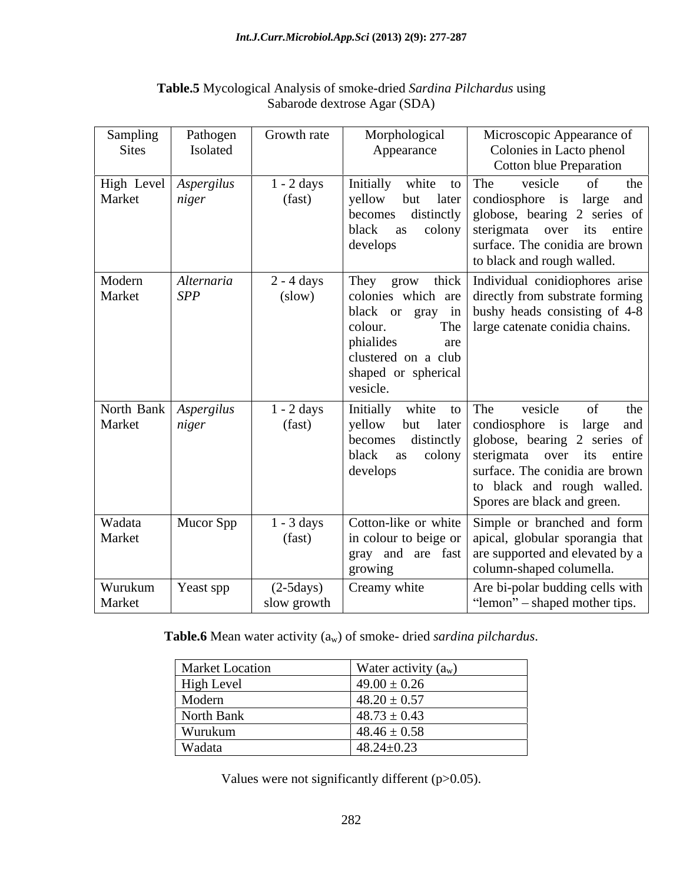| Sampling<br><b>Sites</b> | Pathogen<br>Isolated             | Growth rate                    | Morphological<br>Appearance                                                           | Microscopic Appearance of<br>Colonies in Lacto phenol<br><b>Cotton blue Preparation</b>                                                                                                                                                    |
|--------------------------|----------------------------------|--------------------------------|---------------------------------------------------------------------------------------|--------------------------------------------------------------------------------------------------------------------------------------------------------------------------------------------------------------------------------------------|
| Market                   | High Level Aspergilus<br>niger   | $1 - 2$ days<br>(fast)         | Initially<br>white to The<br>yellow<br>but<br>becomes<br>black<br>as<br>develops      | the<br>vesicle<br>of<br>later   condiosphore is large and<br>distinctly globose, bearing 2 series of<br>colony sterigmata over its entire<br>surface. The conidia are brown<br>to black and rough walled.                                  |
| Modern<br>Market         | Alternaria<br>SPP                | $2 - 4$ days<br>(slow)         | colour.<br>phialides<br>are<br>clustered on a club<br>shaped or spherical<br>vesicle. | They grow thick   Individual conidiophores arise  <br>colonies which are directly from substrate forming<br>black or gray in bushy heads consisting of $4-8$<br>The   large catenate conidia chains.                                       |
| Market                   | North Bank   Aspergilus<br>niger | $1 - 2$ days<br>(fast)         | Initially<br>white<br>yellow<br>but<br>becomes<br>black<br>as<br>develops             | to The<br>vesicle<br>the<br>later condiosphore is large and<br>distinctly globose, bearing 2 series of<br>colony sterigmata over its entire<br>surface. The conidia are brown<br>to black and rough walled.<br>Spores are black and green. |
| Wadata<br>Market         | Mucor Spp                        | $1 - 3 \text{ days}$<br>(fast) | growing                                                                               | Cotton-like or white Simple or branched and form<br>in colour to beige or $ $ apical, globular sporangia that<br>gray and are fast are supported and elevated by a<br>column-shaped columella.                                             |
| Wurukum<br>Market        | Yeast spp                        | $(2-5 days)$<br>slow growth    | Creamy white                                                                          | Are bi-polar budding cells with<br>"lemon" – shaped mother tips.                                                                                                                                                                           |

## **Table.5** Mycological Analysis of smoke-dried *Sardina Pilchardus* using Sabarode dextrose Agar (SDA)

**Table.6** Mean water activity (aw) of smoke- dried *sardina pilchardus*.

| <b>Market Location</b> | Water activity $(a_w)$ |
|------------------------|------------------------|
| High Level             | $49.00 \pm 0.26$       |
| Modern                 | $48.20 \pm 0.57$       |
| North Bank             | $48.73 \pm 0.43$       |
| Wurukum                | $48.46 \pm 0.58$       |
| Wadata                 | $48.24 \pm 0.23$       |

Values were not significantly different (p>0.05).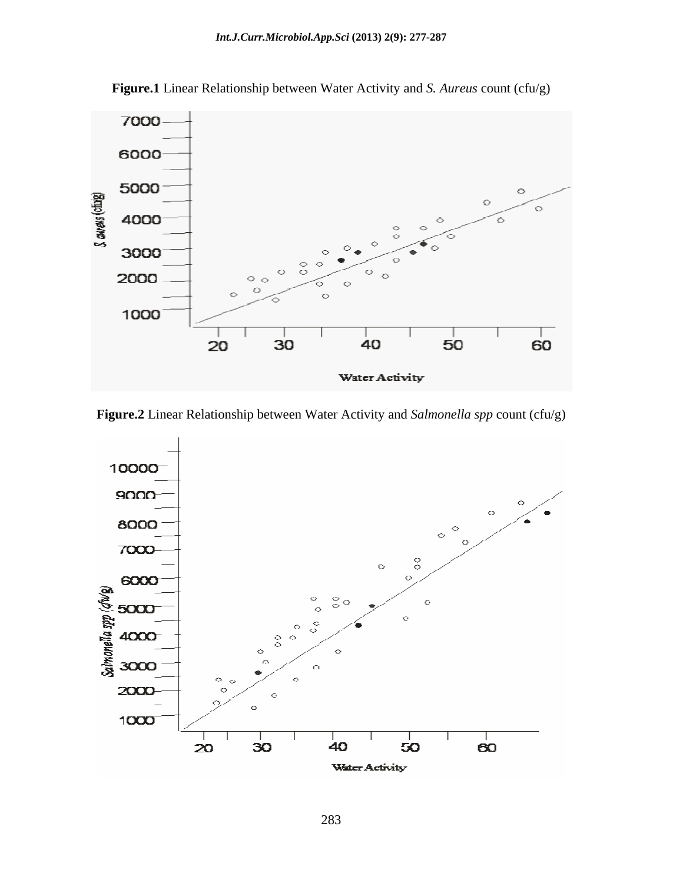

**Figure.1** Linear Relationship between Water Activity and *S. Aureus* count (cfu/g)

**Figure.2** Linear Relationship between Water Activity and *Salmonella spp* count (cfu/g)

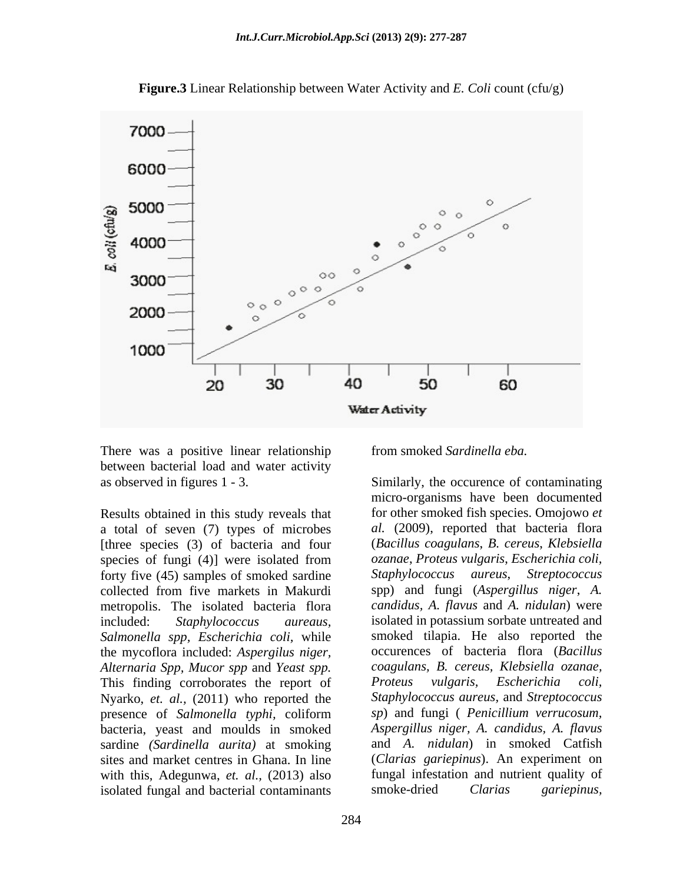

**Figure.3** Linear Relationship between Water Activity and *E. Coli* count (cfu/g)

There was a positive linear relationship between bacterial load and water activity

Results obtained in this study reveals that a total of seven (7) types of microbes [three species (3) of bacteria and four forty five (45) samples of smoked sardine collected from five markets in Makurdi spp) and fungi (Aspergillus niger, A. metropolis. The isolated bacteria flora candidus, A. flavus and A. nidulan) were *Salmonella spp, Escherichia coli,* while the mycoflora included: *Aspergilus niger, Alternaria Spp, Mucor spp* and *Yeast spp.* This finding corroborates the report of Proteus vulgaris, Escherichia coli, Nyarko, *et. al.,* (2011) who reported the presence of *Salmonella typhi,* coliform bacteria, yeast and moulds in smoked sardine *(Sardinella aurita)* at smoking with this, Adegunwa, *et. al.,* (2013) also isolated fungal and bacterial contaminants smoke-dried Clarias gariepinus,

from smoked *Sardinella eba.*

as observed in figures 1 - 3. Similarly, the occurence of contaminating species of fungi (4)] were isolated from *ozanae, Proteus vulgaris, Escherichia coli,* included: *Staphylococcus aureaus,* isolated in potassium sorbate untreated and sites and market centres in Ghana. In line (*Clarias gariepinus*). An experiment on micro-organisms have been documented for other smoked fish species. Omojowo *et al.* (2009), reported that bacteria flora (*Bacillus coagulans*, *B. cereus*, *Klebsiella ozanae*, *Proteus vulgaris*, *Escherichia coli, Staphylococcus aureus*, *Streptococcus* spp) and fungi (*Aspergillus niger*, *A. candidus, A. flavus* and *A. nidulan*) were smoked tilapia. He also reported the occurences of bacteria flora (*Bacillus coagulans, B. cereus, Klebsiella ozanae, Proteus vulgaris, Escherichia coli, Staphylococcus aureus,* and *Streptococcus sp*) and fungi ( *Penicillium verrucosum, Aspergillus niger, A. candidus, A. flavus* and *A. nidulan*) in smoked Catfish fungal infestation and nutrient quality of smoke-dried *Clarias gariepinus,*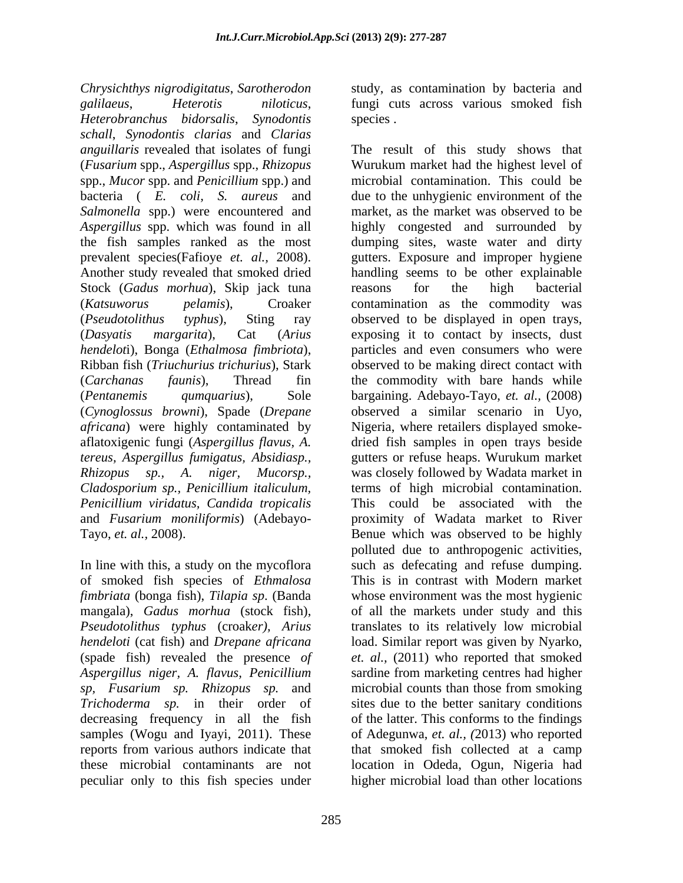*Chrysichthys nigrodigitatus*, *Sarotherodon*  study, as contamination by bacteria and *galilaeus*, *Heterotis niloticus*, fungi cuts across various smoked fish *Heterobranchus bidorsalis*, *Synodontis schall*, *Synodontis clarias* and *Clarias*  (*Fusarium* spp., *Aspergillus* spp., *Rhizopus*  spp., *Mucor* spp. and *Penicillium* spp.) and *Salmonella* spp.) were encountered and Stock (*Gadus morhua*), Skip jack tuna reasons for the high bacterial *hendelot*i), Bonga (*Ethalmosa fimbriota*), Ribban fish (*Triuchurius trichurius*), Stark *africana*) were highly contaminated by *tereus, Aspergillus fumigatus, Absidiasp., Cladosporium sp., Penicillium italiculum,* 

of smoked fish species of *Ethmalosa fimbriata* (bonga fish), *Tilapia sp*. (Banda *Trichoderma sp.* in their order of peculiar only to this fish species under higher microbial load than other locations

species .

*anguillaris* revealed that isolates of fungi The result of this study shows that bacteria ( *E. coli, S. aureus* and due to the unhygienic environment of the *Aspergillus* spp. which was found in all highly congested and surrounded by the fish samples ranked as the most dumping sites, waste water and dirty prevalent species(Fafioye *et. al.,* 2008). gutters. Exposure and improper hygiene Another study revealed that smoked dried handling seems to be other explainable (*Katsuworus pelamis*), Croaker contamination as the commodity was (*Pseudotolithus typhus*), Sting ray observed to be displayed in open trays, (*Dasyatis margarita*), Cat (*Arius*  exposing it to contact by insects, dust (*Carchanas faunis*), Thread fin the commodity with bare hands while (*Pentanemis qumquarius*), Sole bargaining. Adebayo-Tayo, *et. al.,* (2008) (*Cynoglossus browni*), Spade (*Drepane*  observed a similar scenario in Uyo, aflatoxigenic fungi (*Aspergillus flavus, A.* dried fish samples in open trays beside *Rhizopus sp., A. niger, Mucorsp.,* was closely followed by Wadata market in *Penicillium viridatus, Candida tropicalis* This could be associated with the and *Fusarium moniliformis*) (Adebayo- proximity of Wadata market to River Tayo, *et. al.,* 2008). Benue which was observed to be highly In line with this, a study on the mycoflora such as defecating and refuse dumping. mangala), *Gadus morhua* (stock fish), of all the markets under study and this *Pseudotolithus typhus* (croak*er), Arius* translates to its relatively low microbial *hendeloti* (cat fish) and *Drepane africana* load. Similar report was given by Nyarko, (spade fish) revealed the presence *of et. al.,* (2011) who reported that smoked *Aspergillus niger, A. flavus, Penicillium* sardine from marketing centres had higher *sp, Fusarium sp. Rhizopus sp.* and microbial counts than those from smoking decreasing frequency in all the fish of the latter. This conforms to the findings samples (Wogu and Iyayi, 2011). These of Adegunwa, *et. al., (*2013) who reported reports from various authors indicate that that smoked fish collected at a camp these microbial contaminants are not location in Odeda, Ogun, Nigeria had Wurukum market had the highest level of microbial contamination. This could be market, as the market was observed to be reasons for the high bacterial particles and even consumers who were observed to be making direct contact with Nigeria, where retailers displayed smoke gutters or refuse heaps. Wurukum market terms of high microbial contamination. polluted due to anthropogenic activities, This is in contrast with Modern market whose environment was the most hygienic sites due to the better sanitary conditions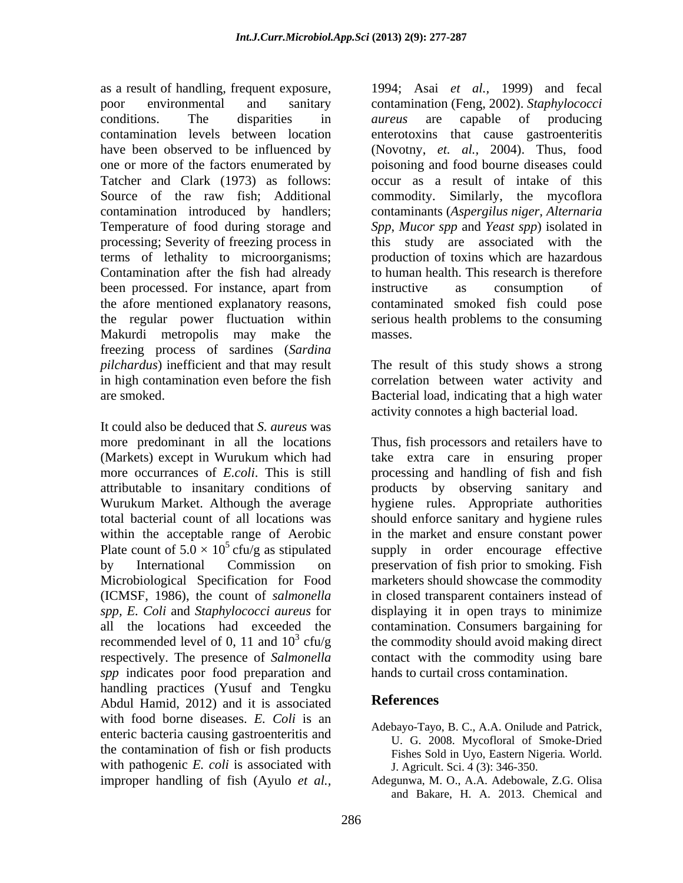processing; Severity of freezing process in terms of lethality to microorganisms; Makurdi metropolis may make the freezing process of sardines (*Sardina*  pilchardus) inefficient and that may result The result of this study shows a strong in high contamination even before the fish correlation between water activity and are smoked. Bacterial load, indicating that a high water

It could also be deduced that *S. aureus* was *spp* indicates poor food preparation and handling practices (Yusuf and Tengku<br>Abdul Hamid 2012) and it is associated **References** Abdul Hamid, 2012) and it is associated with food borne diseases. *E. Coli* is an enteric bacteria causing gastroenteritis and the contamination of fish or fish products with pathogenic *E. coli* is associated with

as a result of handling, frequent exposure, 1994; Asai *et al.,* 1999) and fecal poor environmental and sanitary contamination (Feng, 2002). *Staphylococci*  conditions. The disparities in *aureus* are capable of producing contamination levels between location enterotoxins that cause gastroenteritis have been observed to be influenced by (Novotny, *et. al.,* 2004). Thus, food one or more of the factors enumerated by poisoning and food bourne diseases could Tatcher and Clark (1973) as follows: occur as a result of intake of this Source of the raw fish; Additional commodity. Similarly, the mycoflora contamination introduced by handlers; contaminants (*Aspergilus niger, Alternaria*  Temperature of food during storage and *Spp*, *Mucor spp* and *Yeast spp*) isolated in Contamination after the fish had already to human health. This research is therefore been processed. For instance, apart from instructive as consumption of the afore mentioned explanatory reasons, contaminated smoked fish could pose the regular power fluctuation within serious health problems to the consuming *aureus* are capable of producing this study are associated with the production of toxins which are hazardous instructive as consumption of masses.

activity connotes a high bacterial load.

more predominant in all the locations Thus, fish processors and retailers have to (Markets) except in Wurukum which had take extracare in ensuring proper more occurrances of *E.coli*. This is still processing and handling of fish and fish attributable to insanitary conditions of products by observing sanitary and Wurukum Market. Although the average hygiene rules. Appropriate authorities total bacterial count of all locations was should enforce sanitary and hygiene rules within the acceptable range of Aerobic in the market and ensure constant power Plate count of  $5.0 \times 10^5$  cfu/g as stipulated supply in order encourage effective by International Commission on preservation of fish prior to smoking. Fish Microbiological Specification for Food marketers should showcase the commodity (ICMSF, 1986), the count of *salmonella*  in closed transparent containers instead of *spp, E. Coli* and *Staphylococci aureus* for displaying it in open trays to minimize all the locations had exceeded the contamination. Consumers bargaining for recommended level of 0, 11 and  $10^3$  cfu/g the commodity should avoid making direct respectively. The presence of *Salmonella*  contact with the commodity using bare hands to curtail cross contamination.

### **References**

- Adebayo-Tayo, B. C., A.A. Onilude and Patrick, U. G. 2008. Mycofloral of Smoke-Dried Fishes Sold in Uyo, Eastern Nigeria*.* World. J. Agricult. Sci. 4 (3): 346-350.
- improper handling of fish (Ayulo *et al.,* Adegunwa, M. O., A.A. Adebowale, Z.G. Olisa and Bakare, H. A. 2013. Chemical and